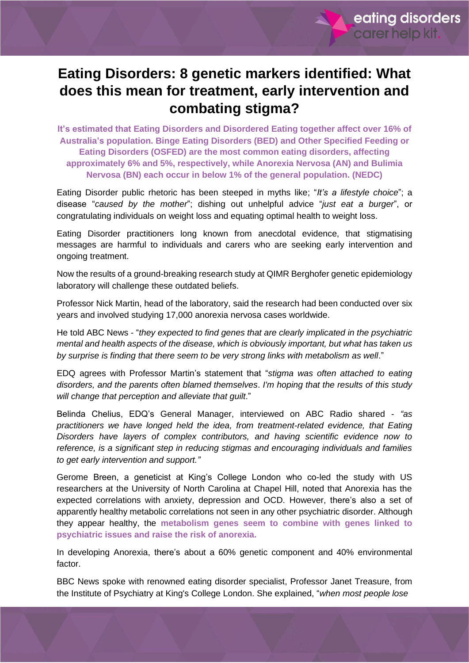

## **Eating Disorders: 8 genetic markers identified: What does this mean for treatment, early intervention and combating stigma?**

**It's estimated that Eating Disorders and Disordered Eating together affect over 16% of Australia's population. Binge Eating Disorders (BED) and Other Specified Feeding or Eating Disorders (OSFED) are the most common eating disorders, affecting approximately 6% and 5%, respectively, while Anorexia Nervosa (AN) and Bulimia Nervosa (BN) each occur in below 1% of the general population. (NEDC)**

Eating Disorder public rhetoric has been steeped in myths like; "*It's a lifestyle choice*"; a disease "*caused by the mother*"; dishing out unhelpful advice "*just eat a burger*", or congratulating individuals on weight loss and equating optimal health to weight loss.

Eating Disorder practitioners long known from anecdotal evidence, that stigmatising messages are harmful to individuals and carers who are seeking early intervention and ongoing treatment.

Now the results of a ground-breaking research study at QIMR Berghofer genetic epidemiology laboratory will challenge these outdated beliefs.

Professor Nick Martin, head of the laboratory, said the research had been conducted over six years and involved studying 17,000 anorexia nervosa cases worldwide.

He told ABC News - "*they expected to find genes that are clearly implicated in the psychiatric mental and health aspects of the disease, which is obviously important, but what has taken us by surprise is finding that there seem to be very strong links with metabolism as well*."

EDQ agrees with Professor Martin's statement that "*stigma was often attached to eating disorders, and the parents often blamed themselves*. *I'm hoping that the results of this study will change that perception and alleviate that guilt*."

Belinda Chelius, EDQ's General Manager, interviewed on ABC Radio shared - *"as practitioners we have longed held the idea, from treatment-related evidence, that Eating Disorders have layers of complex contributors, and having scientific evidence now to reference, is a significant step in reducing stigmas and encouraging individuals and families to get early intervention and support."*

Gerome Breen, a geneticist at King's College London who co-led the study with US researchers at the University of North Carolina at Chapel Hill, noted that Anorexia has the expected correlations with anxiety, depression and OCD. However, there's also a set of apparently healthy metabolic correlations not seen in any other psychiatric disorder. Although they appear healthy, the **metabolism genes seem to combine with genes linked to psychiatric issues and raise the risk of anorexia.**

In developing Anorexia, there's about a 60% genetic component and 40% environmental factor.

BBC News spoke with renowned eating disorder specialist, Professor Janet Treasure, from the Institute of Psychiatry at King's College London. She explained, "*when most people lose*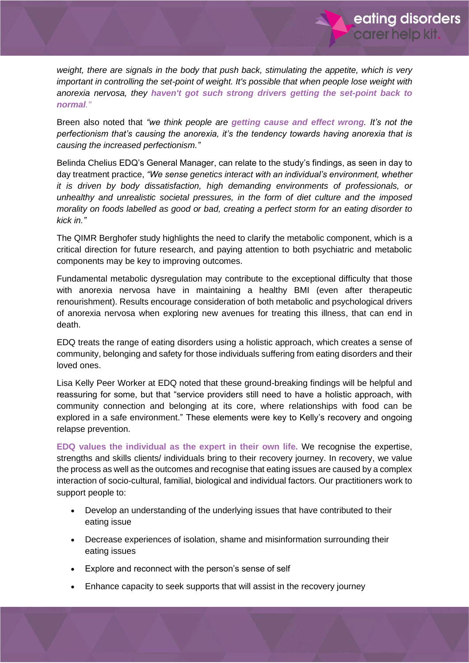*weight, there are signals in the body that push back, stimulating the appetite, which is very important in controlling the set-point of weight. It's possible that when people lose weight with anorexia nervosa, they haven't got such strong drivers getting the set-point back to normal."*

eating disorders

carer help kit.

Breen also noted that *"we think people are getting cause and effect wrong. It's not the perfectionism that's causing the anorexia, it's the tendency towards having anorexia that is causing the increased perfectionism."*

Belinda Chelius EDQ's General Manager, can relate to the study's findings, as seen in day to day treatment practice, *"We sense genetics interact with an individual's environment, whether it is driven by body dissatisfaction, high demanding environments of professionals, or unhealthy and unrealistic societal pressures, in the form of diet culture and the imposed morality on foods labelled as good or bad, creating a perfect storm for an eating disorder to kick in."*

The QIMR Berghofer study highlights the need to clarify the metabolic component, which is a critical direction for future research, and paying attention to both psychiatric and metabolic components may be key to improving outcomes.

Fundamental metabolic dysregulation may contribute to the exceptional difficulty that those with anorexia nervosa have in maintaining a healthy BMI (even after therapeutic renourishment). Results encourage consideration of both metabolic and psychological drivers of anorexia nervosa when exploring new avenues for treating this illness, that can end in death.

EDQ treats the range of eating disorders using a holistic approach, which creates a sense of community, belonging and safety for those individuals suffering from eating disorders and their loved ones.

Lisa Kelly Peer Worker at EDQ noted that these ground-breaking findings will be helpful and reassuring for some, but that "service providers still need to have a holistic approach, with community connection and belonging at its core, where relationships with food can be explored in a safe environment." These elements were key to Kelly's recovery and ongoing relapse prevention.

**EDQ values the individual as the expert in their own life.** We recognise the expertise, strengths and skills clients/ individuals bring to their recovery journey. In recovery, we value the process as well as the outcomes and recognise that eating issues are caused by a complex interaction of socio-cultural, familial, biological and individual factors. Our practitioners work to support people to:

- Develop an understanding of the underlying issues that have contributed to their eating issue
- Decrease experiences of isolation, shame and misinformation surrounding their eating issues
- Explore and reconnect with the person's sense of self
- Enhance capacity to seek supports that will assist in the recovery journey